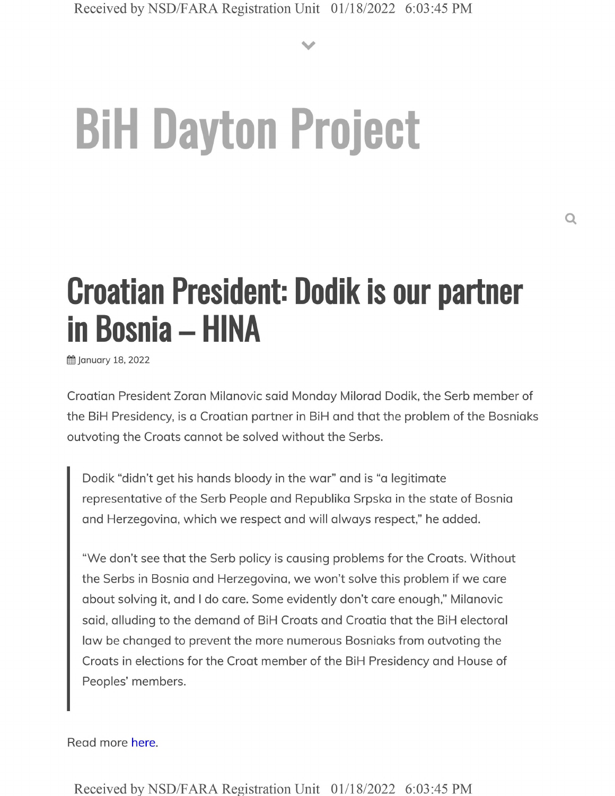**V**

# **BiH Dayton Project**

## **Croatian President: Dodik is our partner in Bosnia - HINA**

**前 January 18, 2022** 

Croatian President Zoran Milanovic said Monday Milorad Dodik, the Serb member of the BiH Presidency, is a Croatian partner in BiH and that the problem of the Bosniaks outvoting the Croats cannot be solved without the Serbs.

Dodik "didn't get his hands bloody in the war" and is "a legitimate representative of the Serb People and Republika Srpska in the state of Bosnia and Herzegovina, which we respect and will always respect," he added.

"We don't see that the Serb policy is causing problems for the Croats. Without the Serbs in Bosnia and Herzegovina, we won't solve this problem if we care about solving it, and <sup>I</sup> do care. Some evidently don't care enough," Milanovic said, alluding to the demand of BiH Croats and Croatia that the BiH electoral law be changed to prevent the more numerous Bosniaks from outvoting the Croats in elections for the Croat member of the BiH Presidency and House of Peoples' members.

Read more here.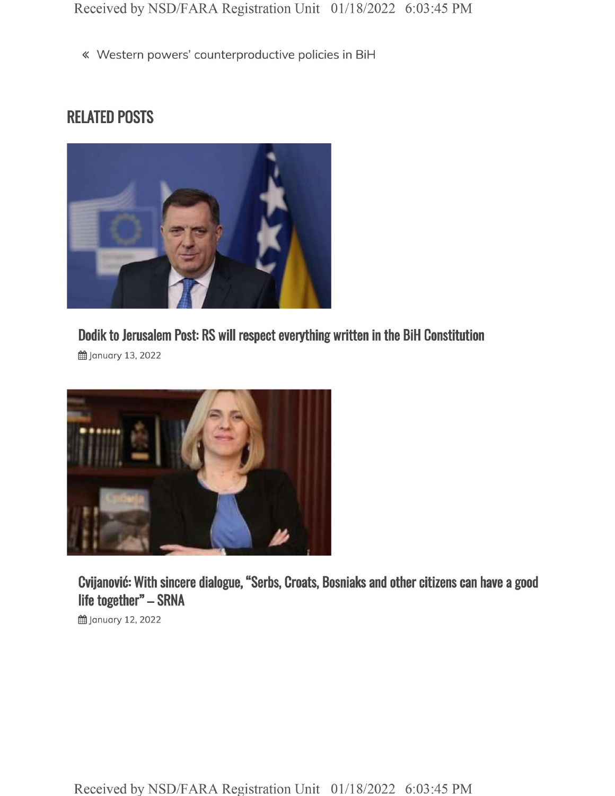« Western powers' counterproductive policies in BiH

### RELATED POSTS



**Dodik to Jerusalem Post: RS will respect everything written in the BiH Constitution**

**曲 January 13, 2022** 



**Cvijanovic: With sincere dialogue, "Serbs, Croats, Bosniaks and other citizens can have life together" - SRNA**

**的January 12, 2022**